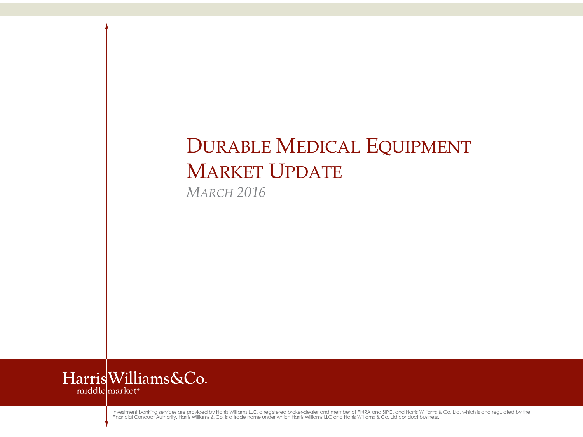# DURABLE MEDICAL EQUIPMENT MARKET UPDATE

*MARCH 2016*



Investment banking services are provided by Harris Williams LLC, a registered broker-dealer and member of FINRA and SIPC, and Harris Williams & Co. Ltd, which is and regulated by the<br>Financial Conduct Authority. Harris Wil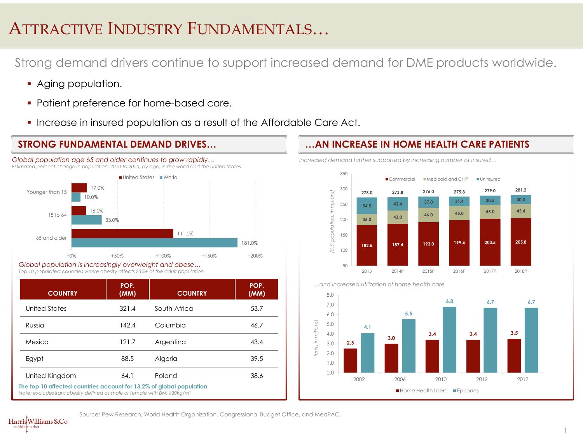## ATTRACTIVE INDUSTRY FUNDAMENTALS…

Strong demand drivers continue to support increased demand for DME products worldwide.

- **Aging population.**
- **Patient preference for home-based care.**
- **Increase in insured population as a result of the Affordable Care Act.**



*Global population age 65 and older continues to grow rapidly… Estimated percent change in population, 2010 to 2050, by age, in the world and the United States*

*Global population is increasingly overweight and obese… Top 10 populated countries where obesity affects 25%+ of the adult population*

| <b>COUNTRY</b>                                                                                                                                                   | POP.<br>(MM) | <b>COUNTRY</b> | POP.<br>(MM) |  |
|------------------------------------------------------------------------------------------------------------------------------------------------------------------|--------------|----------------|--------------|--|
| United States                                                                                                                                                    | 321.4        | South Africa   | 53.7         |  |
| Russia                                                                                                                                                           | 142.4        | Columbia       | 46.7         |  |
| Mexico                                                                                                                                                           | 121.7        | Argentina      | 43.4         |  |
| Egypt                                                                                                                                                            | 88.5         | Algeria        | 39.5         |  |
| United Kingdom                                                                                                                                                   | 64.1         | Poland         | 38.6         |  |
| The top 10 affected countries account for 13.2% of global population<br>Note: excludes Iran; obesity defined as male or female with BMI $\geq 30 \text{ kg/m}^2$ |              |                |              |  |

#### **STRONG FUNDAMENTAL DEMAND DRIVES… …AN INCREASE IN HOME HEALTH CARE PATIENTS**

*Increased demand further supported by increasing number of insured…*





*…and increased utilization of home health care*

Source: Pew Research, World Health Organization, Congressional Budget Office, and MedPAC.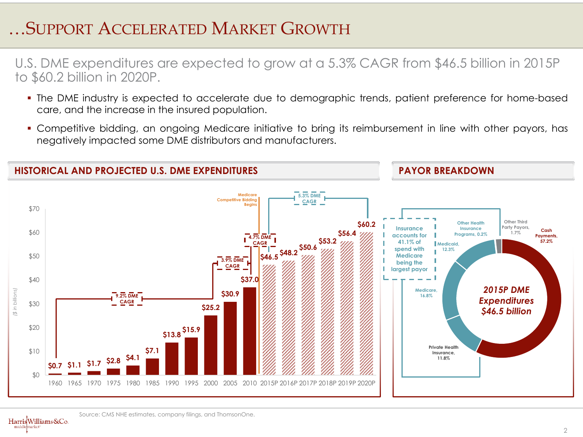## …SUPPORT ACCELERATED MARKET GROWTH

U.S. DME expenditures are expected to grow at a 5.3% CAGR from \$46.5 billion in 2015P to \$60.2 billion in 2020P.

- The DME industry is expected to accelerate due to demographic trends, patient preference for home-based care, and the increase in the insured population.
- Competitive bidding, an ongoing Medicare initiative to bring its reimbursement in line with other payors, has negatively impacted some DME distributors and manufacturers.



Source: CMS NHE estimates, company filings, and ThomsonOne.

HarrisWilliams&Co. marker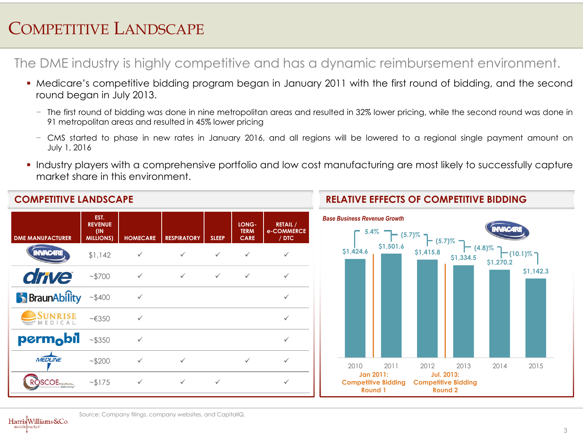## COMPETITIVE LANDSCAPE

The DME industry is highly competitive and has a dynamic reimbursement environment.

- Medicare's competitive bidding program began in January 2011 with the first round of bidding, and the second round began in July 2013.
	- − The first round of bidding was done in nine metropolitan areas and resulted in 32% lower pricing, while the second round was done in 91 metropolitan areas and resulted in 45% lower pricing
	- − CMS started to phase in new rates in January 2016, and all regions will be lowered to a regional single payment amount on July 1, 2016
- Industry players with a comprehensive portfolio and low cost manufacturing are most likely to successfully capture market share in this environment.



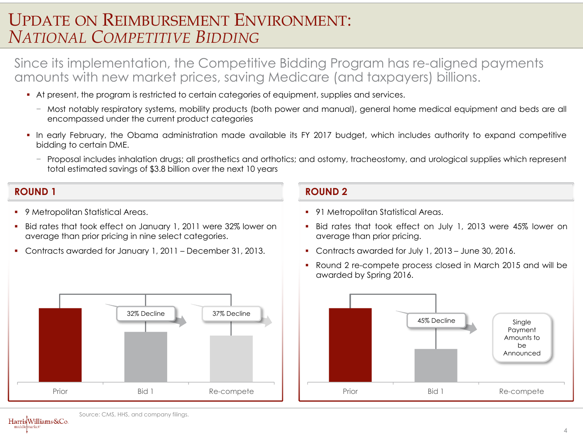### UPDATE ON REIMBURSEMENT ENVIRONMENT: *NATIONAL COMPETITIVE BIDDING*

Since its implementation, the Competitive Bidding Program has re-aligned payments amounts with new market prices, saving Medicare (and taxpayers) billions.

- At present, the program is restricted to certain categories of equipment, supplies and services.
	- − Most notably respiratory systems, mobility products (both power and manual), general home medical equipment and beds are all encompassed under the current product categories
- In early February, the Obama administration made available its FY 2017 budget, which includes authority to expand competitive bidding to certain DME.
	- − Proposal includes inhalation drugs; all prosthetics and orthotics; and ostomy, tracheostomy, and urological supplies which represent total estimated savings of \$3.8 billion over the next 10 years

#### **ROUND 1 ROUND 2**

- 9 Metropolitan Statistical Areas.
- Bid rates that took effect on January 1, 2011 were 32% lower on average than prior pricing in nine select categories.
- Contracts awarded for January 1, 2011 December 31, 2013.



- 91 Metropolitan Statistical Areas.
- Bid rates that took effect on July 1, 2013 were 45% lower on average than prior pricing.
- Contracts awarded for July 1, 2013 June 30, 2016.
- Round 2 re-compete process closed in March 2015 and will be awarded by Spring 2016.



Source: CMS, HHS, and company filings. HarrisWilliams&Co.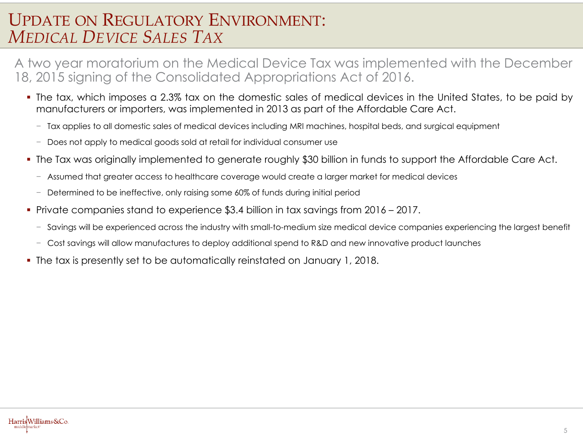#### UPDATE ON REGULATORY ENVIRONMENT: *MEDICAL DEVICE SALES TAX*

A two year moratorium on the Medical Device Tax was implemented with the December 18, 2015 signing of the Consolidated Appropriations Act of 2016.

- The tax, which imposes a 2.3% tax on the domestic sales of medical devices in the United States, to be paid by manufacturers or importers, was implemented in 2013 as part of the Affordable Care Act.
	- − Tax applies to all domestic sales of medical devices including MRI machines, hospital beds, and surgical equipment
	- − Does not apply to medical goods sold at retail for individual consumer use
- The Tax was originally implemented to generate roughly \$30 billion in funds to support the Affordable Care Act.
	- − Assumed that greater access to healthcare coverage would create a larger market for medical devices
	- − Determined to be ineffective, only raising some 60% of funds during initial period
- Private companies stand to experience \$3.4 billion in tax savings from 2016 2017.
	- − Savings will be experienced across the industry with small-to-medium size medical device companies experiencing the largest benefit
	- − Cost savings will allow manufactures to deploy additional spend to R&D and new innovative product launches
- The tax is presently set to be automatically reinstated on January 1, 2018.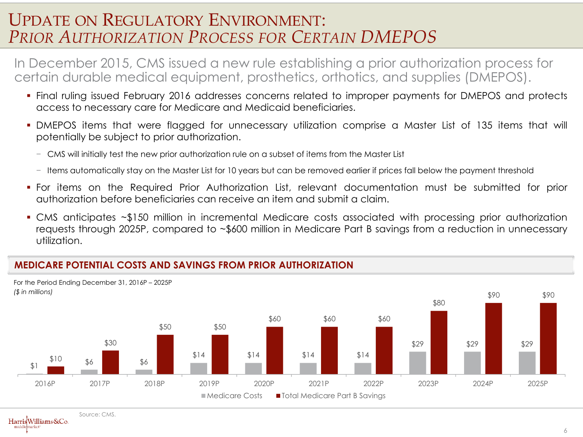#### UPDATE ON REGULATORY ENVIRONMENT: *PRIOR AUTHORIZATION PROCESS FOR CERTAIN DMEPOS*

In December 2015, CMS issued a new rule establishing a prior authorization process for certain durable medical equipment, prosthetics, orthotics, and supplies (DMEPOS).

- Final ruling issued February 2016 addresses concerns related to improper payments for DMEPOS and protects access to necessary care for Medicare and Medicaid beneficiaries.
- DMEPOS items that were flagged for unnecessary utilization comprise a Master List of 135 items that will potentially be subject to prior authorization.
	- − CMS will initially test the new prior authorization rule on a subset of items from the Master List
	- − Items automatically stay on the Master List for 10 years but can be removed earlier if prices fall below the payment threshold
- For items on the Required Prior Authorization List, relevant documentation must be submitted for prior authorization before beneficiaries can receive an item and submit a claim.
- CMS anticipates ~\$150 million in incremental Medicare costs associated with processing prior authorization requests through 2025P, compared to ~\$600 million in Medicare Part B savings from a reduction in unnecessary utilization.

#### **MEDICARE POTENTIAL COSTS AND SAVINGS FROM PRIOR AUTHORIZATION**



HarrisWilliams&Co. marker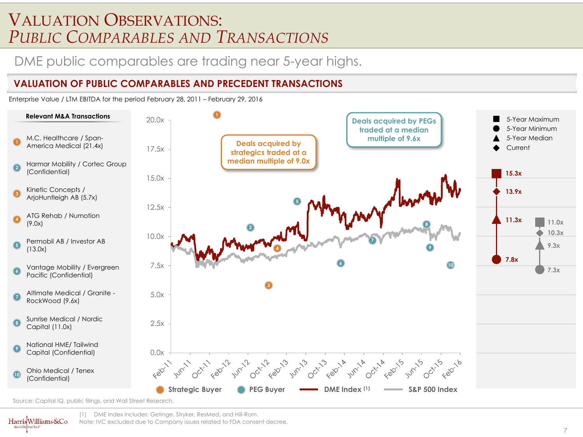#### VALUATION OBSERVATIONS: *PUBLIC COMPARABLES AND TRANSACTIONS*

#### DME public comparables are trading near 5-year highs.

#### **VALUATION OF PUBLIC COMPARABLES AND PRECEDENT TRANSACTIONS**

Enterprise Value / LTM EBITDA for the period February 28, 2011 – February 29, 2016



Source: Capital IQ, public filings, and Wall Street Research.

HarrisWilliams&Co.

marker

(1) DME Index includes: Getinge, Stryker, ResMed, and Hill-Rom. Note: IVC excluded due to Company issues related to FDA consent decree.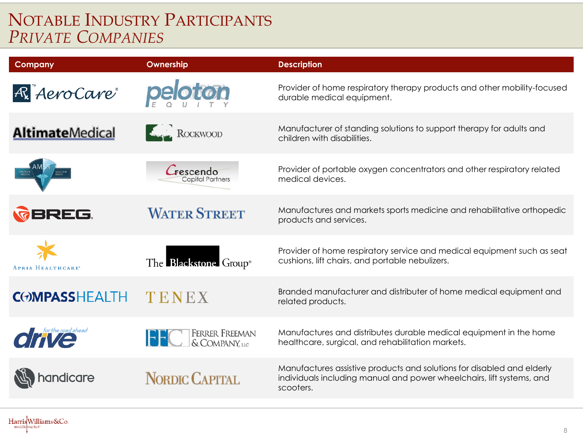## NOTABLE INDUSTRY PARTICIPANTS *PRIVATE COMPANIES*

| <b>Company</b>           | Ownership                               | <b>Description</b>                                                                                                                                           |
|--------------------------|-----------------------------------------|--------------------------------------------------------------------------------------------------------------------------------------------------------------|
| R Aero Care              | peloton                                 | Provider of home respiratory therapy products and other mobility-focused<br>durable medical equipment.                                                       |
| <b>AltimateMedical</b>   | ROCKWOOD                                | Manufacturer of standing solutions to support therapy for adults and<br>children with disabilities.                                                          |
|                          | rescendo<br><b>Capital Partners</b>     | Provider of portable oxygen concentrators and other respiratory related<br>medical devices.                                                                  |
| <b><i>REREG.</i></b>     | <b>WATER STREET</b>                     | Manufactures and markets sports medicine and rehabilitative orthopedic<br>products and services.                                                             |
| <b>APRIA HEALTHCARE*</b> | The Blackstone Group®                   | Provider of home respiratory service and medical equipment such as seat<br>cushions, lift chairs, and portable nebulizers.                                   |
| <b>COMPASSHEALTH</b>     | TENEX                                   | Branded manufacturer and distributer of home medical equipment and<br>related products.                                                                      |
| <b>OFFICE</b>            | <b>FERRER FREEMAN</b><br>& COMPANY, LLC | Manufactures and distributes durable medical equipment in the home<br>healthcare, surgical, and rehabilitation markets.                                      |
| handicare                | NORDIC CAPITAL                          | Manufactures assistive products and solutions for disabled and elderly<br>individuals including manual and power wheelchairs, lift systems, and<br>scooters. |
|                          |                                         |                                                                                                                                                              |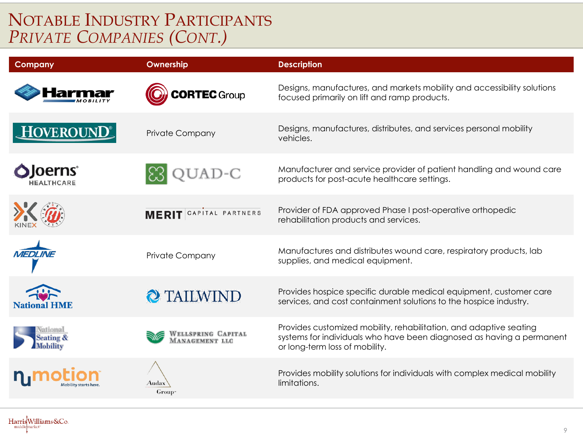## NOTABLE INDUSTRY PARTICIPANTS *PRIVATE COMPANIES (CONT.)*

| <b>Company</b>                           | Ownership                            | <b>Description</b>                                                                                                                                                            |
|------------------------------------------|--------------------------------------|-------------------------------------------------------------------------------------------------------------------------------------------------------------------------------|
|                                          | <b>ORTEC</b> Group                   | Designs, manufactures, and markets mobility and accessibility solutions<br>focused primarily on lift and ramp products.                                                       |
| HOVEROUN                                 | Private Company                      | Designs, manufactures, distributes, and services personal mobility<br>vehicles.                                                                                               |
| loerns <sup>®</sup><br><b>HEALTHCARE</b> | $AD-C$                               | Manufacturer and service provider of patient handling and wound care<br>products for post-acute healthcare settings.                                                          |
|                                          | MERIT CAPITAL PARTNERS               | Provider of FDA approved Phase I post-operative orthopedic<br>rehabilitation products and services.                                                                           |
| <b>MEDI INF</b>                          | <b>Private Company</b>               | Manufactures and distributes wound care, respiratory products, lab<br>supplies, and medical equipment.                                                                        |
| <b>National HME</b>                      | 2 TAILWIND                           | Provides hospice specific durable medical equipment, customer care<br>services, and cost containment solutions to the hospice industry.                                       |
| ational<br>Seating &<br><b>Mobility</b>  | WELLSPRING CAPITAL<br>MANAGEMENT LLC | Provides customized mobility, rehabilitation, and adaptive seating<br>systems for individuals who have been diagnosed as having a permanent<br>or long-term loss of mobility. |
|                                          | Audax<br>Group <sup>*</sup>          | Provides mobility solutions for individuals with complex medical mobility<br>limitations.                                                                                     |
|                                          |                                      |                                                                                                                                                                               |

HarrisWilliams&Co. middl emarket\*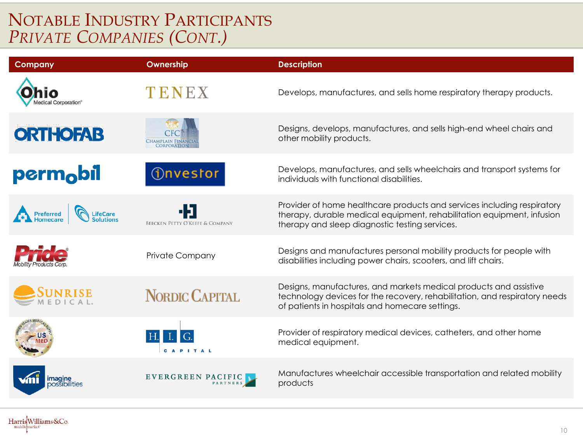## NOTABLE INDUSTRY PARTICIPANTS *PRIVATE COMPANIES (CONT.)*

HarrisWilliams&Co.

middl emarket\*

| <b>Company</b>        | Ownership                       | <b>Description</b>                                                                                                                                                                                  |
|-----------------------|---------------------------------|-----------------------------------------------------------------------------------------------------------------------------------------------------------------------------------------------------|
| ledical Corporation®  | TENEX                           | Develops, manufactures, and sells home respiratory therapy products.                                                                                                                                |
| <b>ORTHOFAB</b>       | Champlain Finan                 | Designs, develops, manufactures, and sells high-end wheel chairs and<br>other mobility products.                                                                                                    |
| perm <sub>o</sub> bil | <b><i><u>Onvestor</u></i></b>   | Develops, manufactures, and sells wheelchairs and transport systems for<br>individuals with functional disabilities.                                                                                |
| Preferred<br>LifeCare | BEECKEN PETTY O'KEEFE & COMPANY | Provider of home healthcare products and services including respiratory<br>therapy, durable medical equipment, rehabilitation equipment, infusion<br>therapy and sleep diagnostic testing services. |
|                       | <b>Private Company</b>          | Designs and manufactures personal mobility products for people with<br>disabilities including power chairs, scooters, and lift chairs.                                                              |
|                       | NORDIC CAPITAL                  | Designs, manufactures, and markets medical products and assistive<br>technology devices for the recovery, rehabilitation, and respiratory needs<br>of patients in hospitals and homecare settings.  |
|                       |                                 | Provider of respiratory medical devices, catheters, and other home<br>medical equipment.                                                                                                            |
|                       | EVERGREEN PACIFIC               | Manufactures wheelchair accessible transportation and related mobility<br>products                                                                                                                  |
|                       |                                 |                                                                                                                                                                                                     |